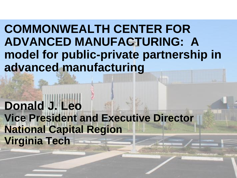**COMMONWEALTH CENTER FOR ADVANCED MANUFACTURING: A model for public-private partnership in advanced manufacturing**

**Donald J. Leo Vice President and Executive Director National Capital Region Virginia Tech**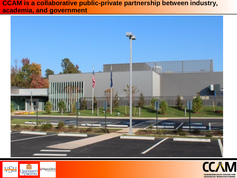**CCAM is a collaborative public-private partnership between industry, academia, and government**





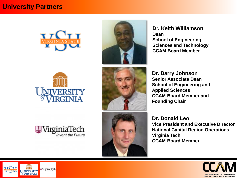



**Dr. Keith Williamson Dean School of Engineering Sciences and Technology CCAM Board Member**





**Dr. Barry Johnson Senior Associate Dean School of Engineering and Applied Sciences CCAM Board Member and Founding Chair**

**Dr. Donald Leo Vice President and Executive Director National Capital Region Operations Virginia Tech CCAM Board Member**





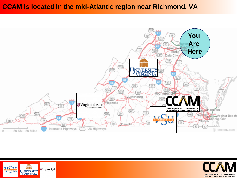# **CCAM is located in the mid-Atlantic region near Richmond, VA**





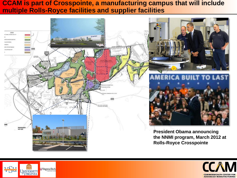## **CCAM is part of Crosspointe, a manufacturing campus that will include multiple Rolls-Royce facilities and supplier facilities**





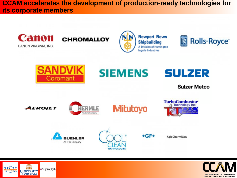**CCAM accelerates the development of production-ready technologies for its corporate members**





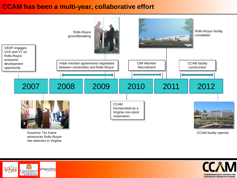#### **CCAM has been a multi-year, collaborative effort**



Governor Tim Kaine announces Rolls-Royce site selection in Virginia

CCAM facility opened



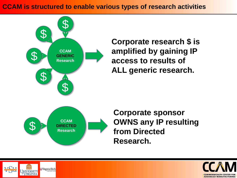# **CCAM is structured to enable various types of research activities**



**Corporate research \$ is amplified by gaining IP access to results of ALL generic research.**

**Corporate sponsor OWNS any IP resulting from Directed Research.**



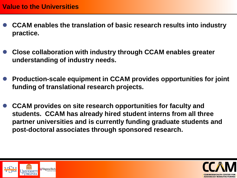- **CCAM enables the translation of basic research results into industry practice.**
- **Close collaboration with industry through CCAM enables greater understanding of industry needs.**
- **Production-scale equipment in CCAM provides opportunities for joint funding of translational research projects.**
- **CCAM provides on site research opportunities for faculty and students. CCAM has already hired student interns from all three partner universities and is currently funding graduate students and post-doctoral associates through sponsored research.**



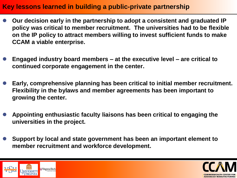# **Key lessons learned in building a public-private partnership**

- **Our decision early in the partnership to adopt a consistent and graduated IP policy was critical to member recruitment. The universities had to be flexible on the IP policy to attract members willing to invest sufficient funds to make CCAM a viable enterprise.**
- **Engaged industry board members – at the executive level – are critical to continued corporate engagement in the center.**
- **Early, comprehensive planning has been critical to initial member recruitment. Flexibility in the bylaws and member agreements has been important to growing the center.**
- **Appointing enthusiastic faculty liaisons has been critical to engaging the universities in the project.**
- **Support by local and state government has been an important element to member recruitment and workforce development.**